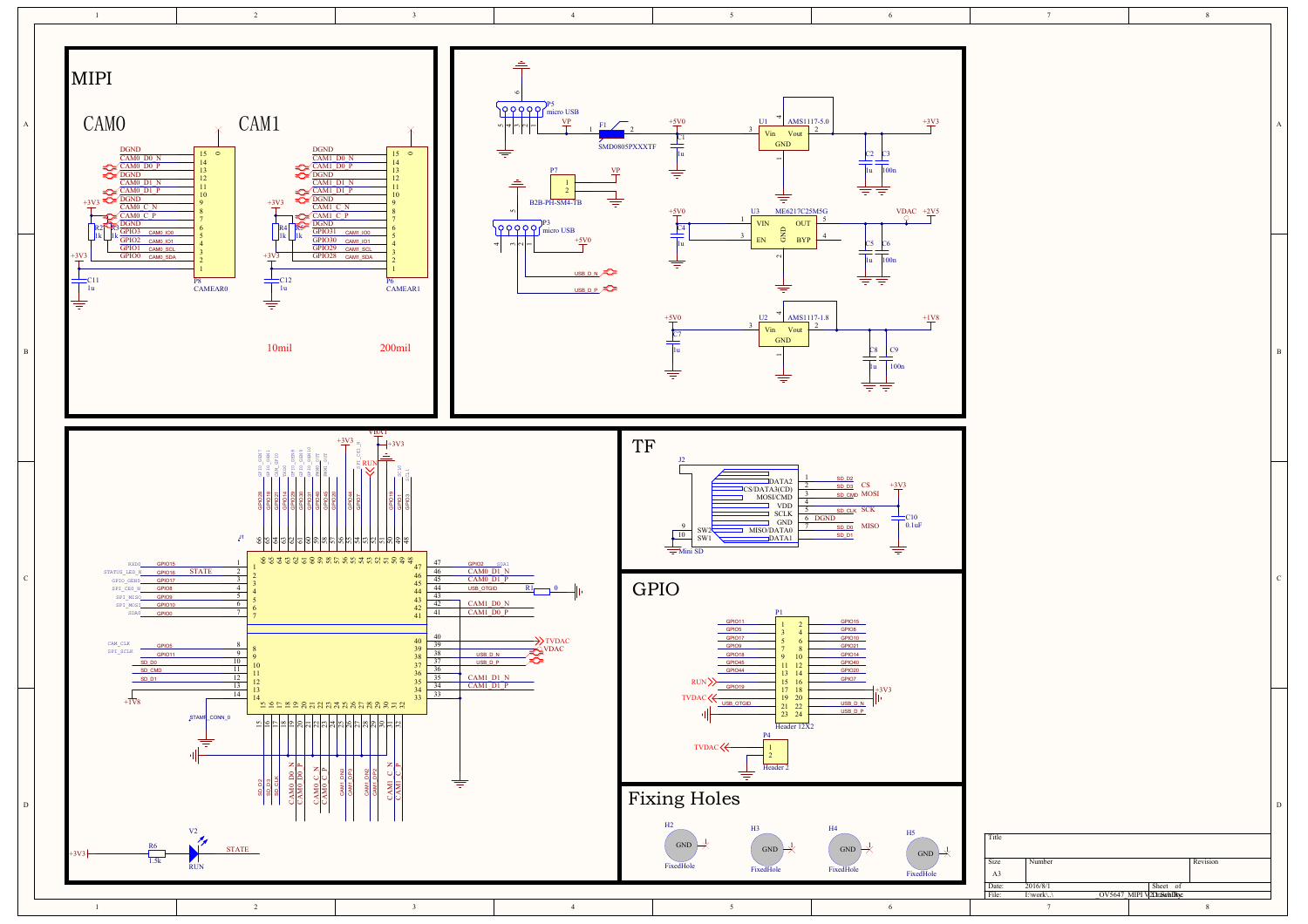